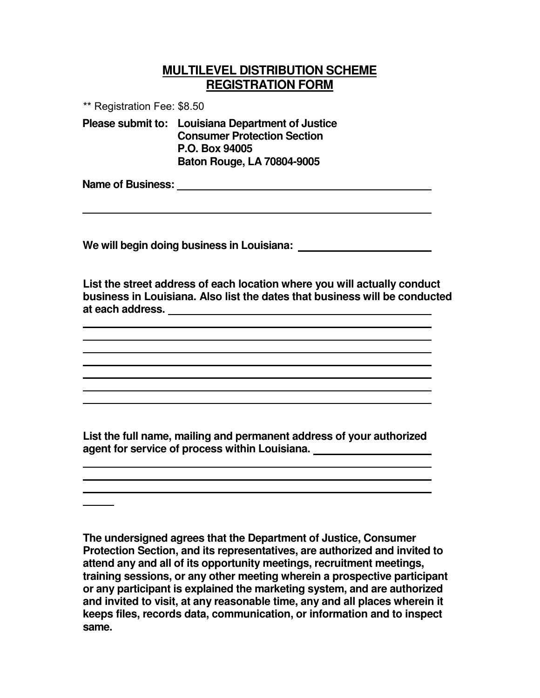## **MULTILEVEL DISTRIBUTION SCHEME REGISTRATION FORM**

\*\* Registration Fee: \$8.50

**Please submit to: Louisiana Department of Justice Consumer Protection Section P.O. Box 94005 Baton Rouge, LA 70804-9005**

**Name of Business:**

**We will begin doing business in Louisiana:**

**List the street address of each location where you will actually conduct business in Louisiana. Also list the dates that business will be conducted at each address.**

**List the full name, mailing and permanent address of your authorized agent for service of process within Louisiana.**

**The undersigned agrees that the Department of Justice, Consumer Protection Section, and its representatives, are authorized and invited to attend any and all of its opportunity meetings, recruitment meetings, training sessions, or any other meeting wherein a prospective participant or any participant is explained the marketing system, and are authorized and invited to visit, at any reasonable time, any and all places wherein it keeps files, records data, communication, or information and to inspect same.**